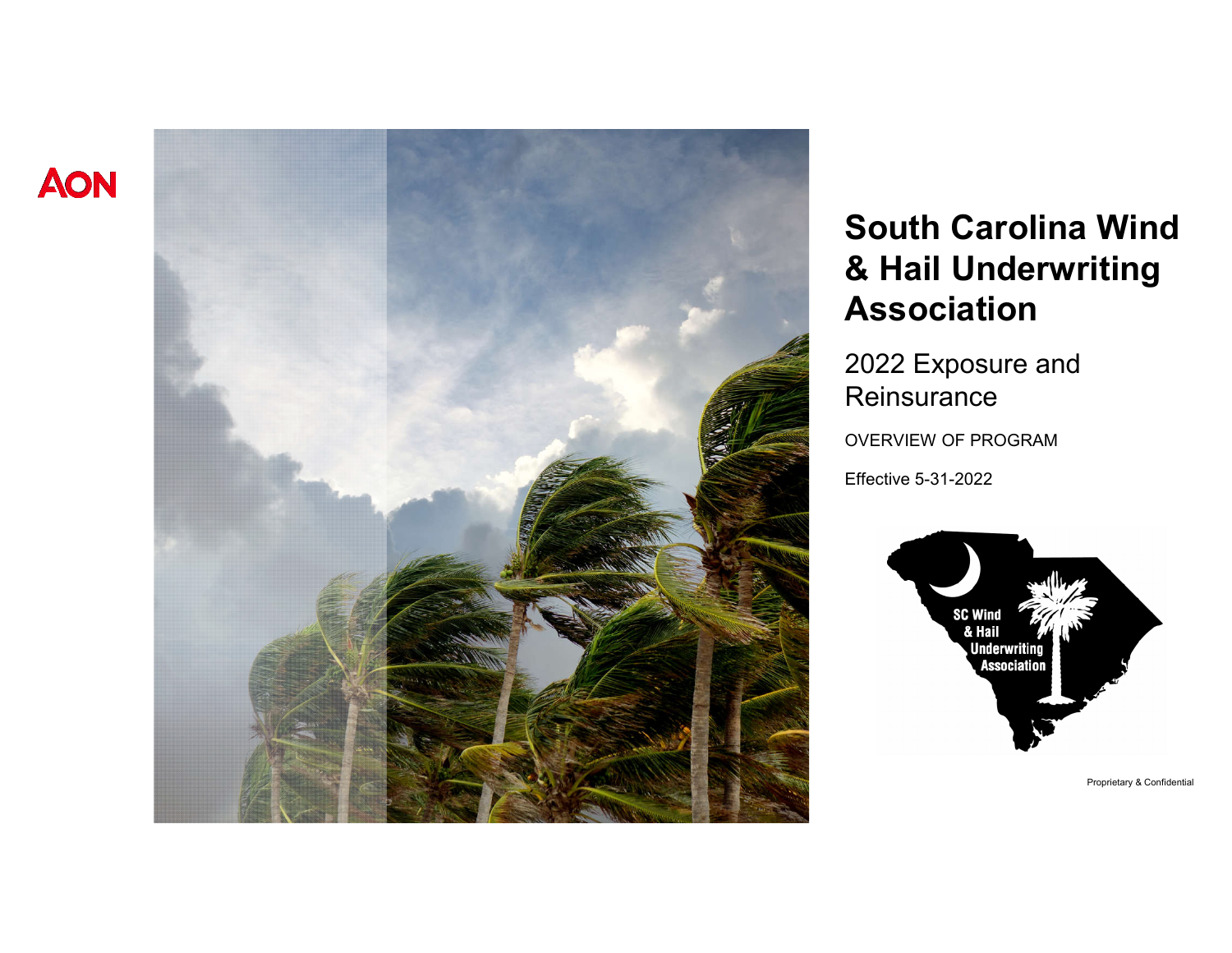



# **South Carolina Wind & Hail Underwriting Association**

2022 Exposure and **Reinsurance** 

OVERVIEW OF PROGRAM

Effective 5-31-2022

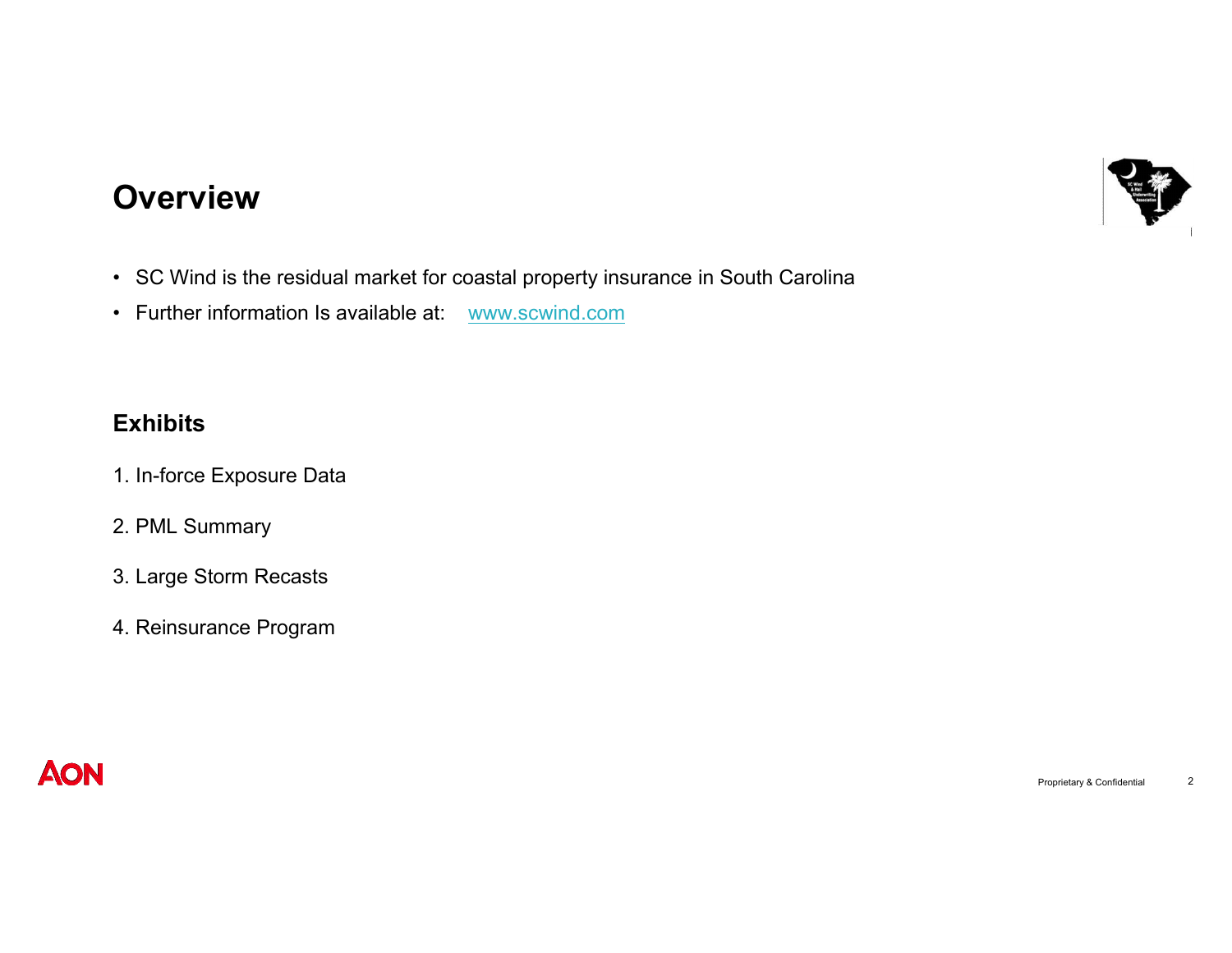

#### **Overview**

- SC Wind is the residual market for coastal property insurance in South Carolina
- Further information Is available at: www.scwind.com

#### **Exhibits**

- 1. In-force Exposure Data
- 2. PML Summary
- 3. Large Storm Recasts
- 4. Reinsurance Program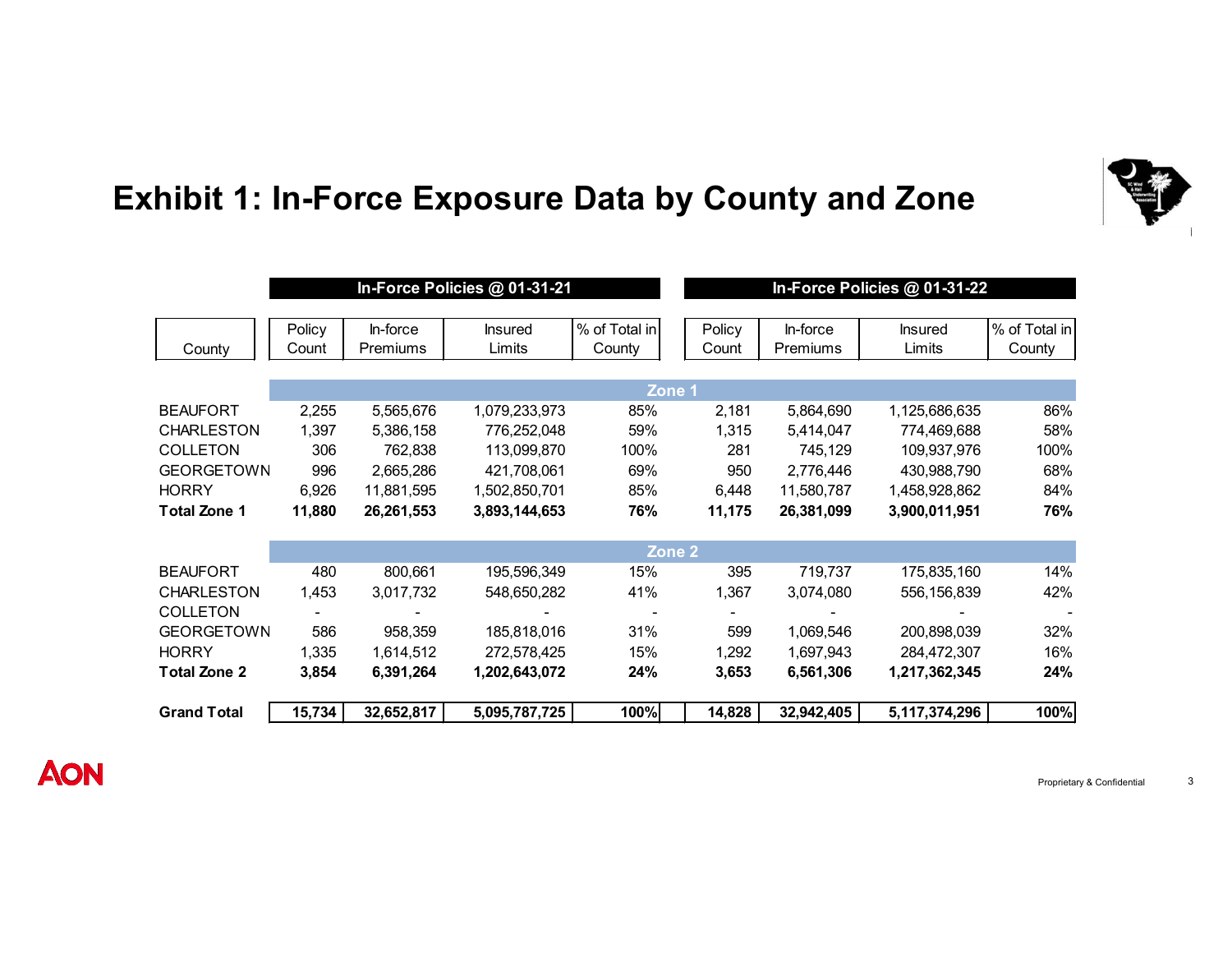

# **Exhibit 1: In-Force Exposure Data by County and Zone**

|                     | In-Force Policies @ 01-31-21 |                 |                |               |  | In-Force Policies @ 01-31-22 |            |                |               |
|---------------------|------------------------------|-----------------|----------------|---------------|--|------------------------------|------------|----------------|---------------|
|                     |                              |                 |                |               |  |                              |            |                |               |
|                     | Policy                       | In-force        | <b>Insured</b> | % of Total in |  | Policy                       | In-force   | <b>Insured</b> | % of Total in |
| County              | Count                        | <b>Premiums</b> | Limits         | County        |  | Count                        | Premiums   | Limits         | County        |
|                     |                              |                 |                |               |  |                              |            |                |               |
|                     | Zone 1                       |                 |                |               |  |                              |            |                |               |
| <b>BEAUFORT</b>     | 2,255                        | 5,565,676       | 1,079,233,973  | 85%           |  | 2,181                        | 5,864,690  | 1,125,686,635  | 86%           |
| <b>CHARLESTON</b>   | 1.397                        | 5,386,158       | 776,252,048    | 59%           |  | 1,315                        | 5,414,047  | 774,469,688    | 58%           |
| <b>COLLETON</b>     | 306                          | 762,838         | 113,099,870    | 100%          |  | 281                          | 745,129    | 109,937,976    | 100%          |
| <b>GEORGETOWN</b>   | 996                          | 2,665,286       | 421,708,061    | 69%           |  | 950                          | 2,776,446  | 430,988,790    | 68%           |
| <b>HORRY</b>        | 6,926                        | 11,881,595      | 1,502,850,701  | 85%           |  | 6,448                        | 11,580,787 | 1,458,928,862  | 84%           |
| <b>Total Zone 1</b> | 11,880                       | 26,261,553      | 3,893,144,653  | 76%           |  | 11,175                       | 26,381,099 | 3,900,011,951  | 76%           |
|                     |                              |                 |                |               |  |                              |            |                |               |
|                     | Zone <sub>2</sub>            |                 |                |               |  |                              |            |                |               |
| <b>BEAUFORT</b>     | 480                          | 800,661         | 195,596,349    | 15%           |  | 395                          | 719,737    | 175,835,160    | 14%           |
| <b>CHARLESTON</b>   | 1,453                        | 3,017,732       | 548,650,282    | 41%           |  | 1,367                        | 3,074,080  | 556,156,839    | 42%           |
| <b>COLLETON</b>     |                              |                 |                |               |  |                              |            |                |               |
| <b>GEORGETOWN</b>   | 586                          | 958,359         | 185,818,016    | 31%           |  | 599                          | 1,069,546  | 200,898,039    | 32%           |
| <b>HORRY</b>        | 1,335                        | 1,614,512       | 272,578,425    | 15%           |  | 1,292                        | 1,697,943  | 284,472,307    | 16%           |
| <b>Total Zone 2</b> | 3,854                        | 6,391,264       | 1,202,643,072  | 24%           |  | 3,653                        | 6,561,306  | 1,217,362,345  | 24%           |
|                     |                              |                 |                |               |  |                              |            |                |               |
| <b>Grand Total</b>  | 15,734                       | 32,652,817      | 5,095,787,725  | 100%          |  | 14,828                       | 32,942,405 | 5,117,374,296  | 100%          |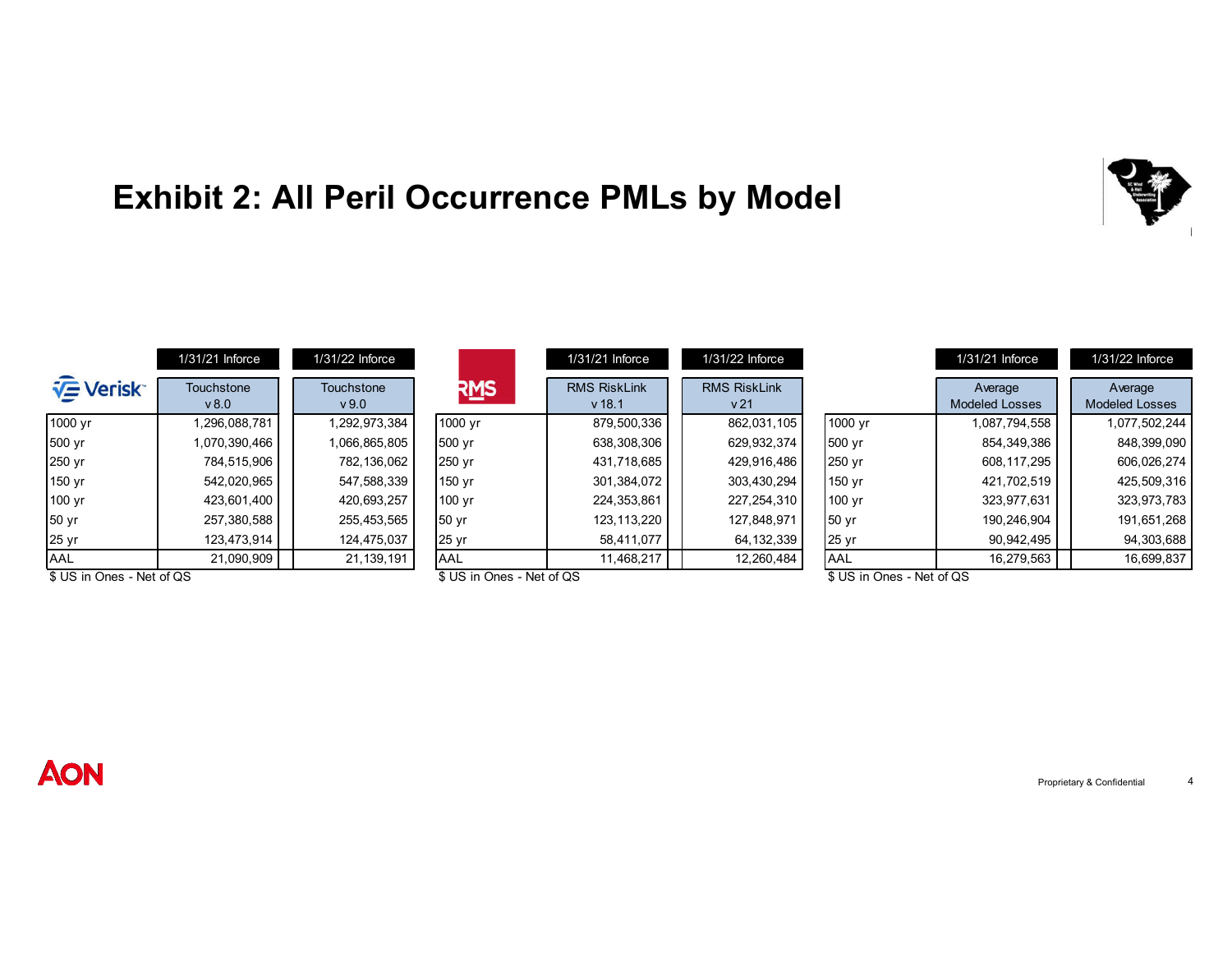# **Exhibit 2: All Peril Occurrence PMLs by Model**

|                           | $1/31/21$ Inforce         | $1/31/22$ Inforce  |                           | 1/31/21 Inforce                 | $1/31/22$ Inforce                      |                           | $1/31/21$ Inforce                | $1/31/22$ Inforce                |
|---------------------------|---------------------------|--------------------|---------------------------|---------------------------------|----------------------------------------|---------------------------|----------------------------------|----------------------------------|
| <b>VE</b> Verisk          | <b>Touchstone</b><br>v8.0 | Touchstone<br>v9.0 | RMS                       | <b>RMS RiskLink</b><br>$v$ 18.1 | <b>RMS RiskLink</b><br>v <sub>21</sub> |                           | Average<br><b>Modeled Losses</b> | Average<br><b>Modeled Losses</b> |
| 1000 yr                   | 1,296,088,781             | 1,292,973,384      | 1000 yr                   | 879,500,336                     | 862,031,105                            | 1000 yr                   | 1,087,794,558                    | 1,077,502,244                    |
| 500 yr                    | 1,070,390,466             | 1,066,865,805      | 500 yr                    | 638,308,306                     | 629,932,374                            | 500 yr                    | 854,349,386                      | 848,399,090                      |
| 250 yr                    | 784,515,906               | 782,136,062        | 250 yr                    | 431,718,685                     | 429.916.486                            | 250 yr                    | 608,117,295                      | 606,026,274                      |
| 150 yr                    | 542,020,965               | 547,588,339        | 150 yr                    | 301,384,072                     | 303,430,294                            | 150 yr                    | 421,702,519                      | 425,509,316                      |
| 100 yr                    | 423,601,400               | 420,693,257        | 100 yr                    | 224,353,861                     | 227, 254, 310                          | 100 yr                    | 323,977,631                      | 323,973,783                      |
| 50 yr                     | 257,380,588               | 255,453,565        | 50 yr                     | 123,113,220                     | 127,848,971                            | 50 <sub>yr</sub>          | 190,246,904                      | 191,651,268                      |
| 25 yr                     | 123,473,914               | 124,475,037        | 25 yr                     | 58,411,077                      | 64, 132, 339                           | 25 yr                     | 90,942,495                       | 94,303,688                       |
| AAL                       | 21,090,909                | 21, 139, 191       | AAL                       | 11,468,217                      | 12,260,484                             | <b>AAL</b>                | 16,279,563                       | 16,699,837                       |
| \$ US in Ones - Net of QS |                           |                    | \$ US in Ones - Net of QS |                                 |                                        | \$ US in Ones - Net of QS |                                  |                                  |

### **AON**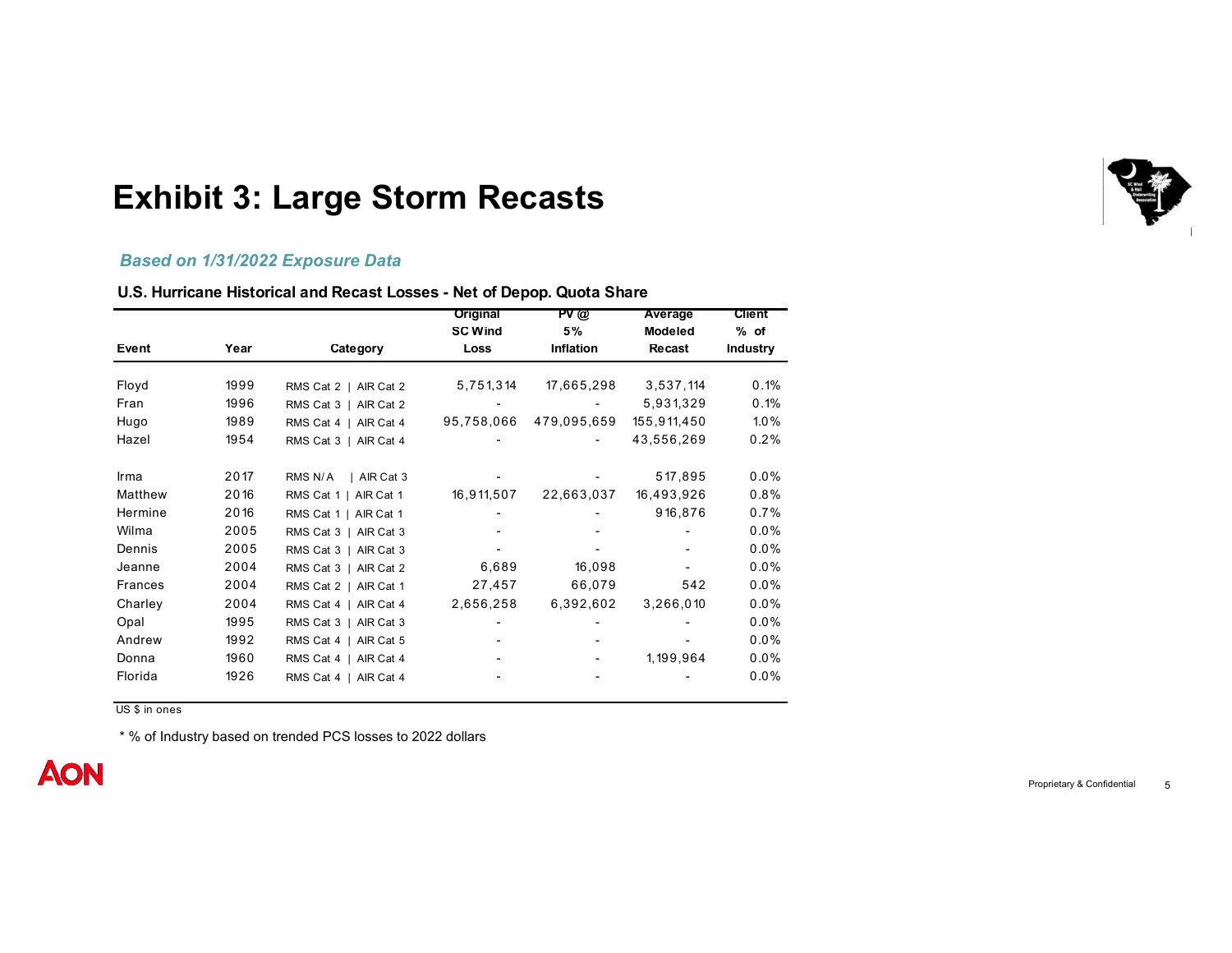

#### **Exhibit 3: Large Storm Recasts**

#### *Based on 1/31/2022 Exposure Data*

#### **U.S. Hurricane Historical and Recast Losses - Net of Depop. Quota Share**

|         |      |                       | Original               | PV@                    | Average                  | <b>Client</b>           |
|---------|------|-----------------------|------------------------|------------------------|--------------------------|-------------------------|
| Event   | Year | Category              | <b>SC Wind</b><br>Loss | 5%<br><b>Inflation</b> | <b>Modeled</b><br>Recast | % of<br><b>Industry</b> |
|         |      |                       |                        |                        |                          |                         |
| Floyd   | 1999 | RMS Cat 2   AIR Cat 2 | 5,751,314              | 17,665,298             | 3,537,114                | 0.1%                    |
| Fran    | 1996 | RMS Cat 3   AIR Cat 2 |                        |                        | 5,931,329                | 0.1%                    |
| Hugo    | 1989 | RMS Cat 4   AIR Cat 4 | 95,758,066             | 479,095,659            | 155,911,450              | $1.0\%$                 |
| Hazel   | 1954 | RMS Cat 3   AIR Cat 4 |                        |                        | 43,556,269               | 0.2%                    |
| Irma    | 2017 | AIR Cat 3<br>RMS N/A  |                        |                        | 517,895                  | 0.0%                    |
| Matthew | 2016 | RMS Cat 1   AIR Cat 1 | 16,911,507             | 22,663,037             | 16,493,926               | 0.8%                    |
| Hermine | 2016 | RMS Cat 1   AIR Cat 1 |                        |                        | 916,876                  | 0.7%                    |
| Wilma   | 2005 | RMS Cat 3   AIR Cat 3 |                        |                        |                          | 0.0%                    |
| Dennis  | 2005 | RMS Cat 3   AIR Cat 3 |                        |                        |                          | 0.0%                    |
| Jeanne  | 2004 | RMS Cat 3   AIR Cat 2 | 6,689                  | 16,098                 |                          | 0.0%                    |
| Frances | 2004 | RMS Cat 2   AIR Cat 1 | 27,457                 | 66,079                 | 542                      | 0.0%                    |
| Charley | 2004 | RMS Cat 4   AIR Cat 4 | 2,656,258              | 6,392,602              | 3,266,010                | 0.0%                    |
| Opal    | 1995 | RMS Cat 3   AIR Cat 3 |                        |                        |                          | 0.0%                    |
| Andrew  | 1992 | RMS Cat 4   AIR Cat 5 |                        |                        |                          | 0.0%                    |
| Donna   | 1960 | RMS Cat 4   AIR Cat 4 |                        |                        | 1,199,964                | 0.0%                    |
| Florida | 1926 | RMS Cat 4   AIR Cat 4 |                        |                        |                          | 0.0%                    |

US \$ in ones

\* % of Industry based on trended PCS losses to 2022 dollars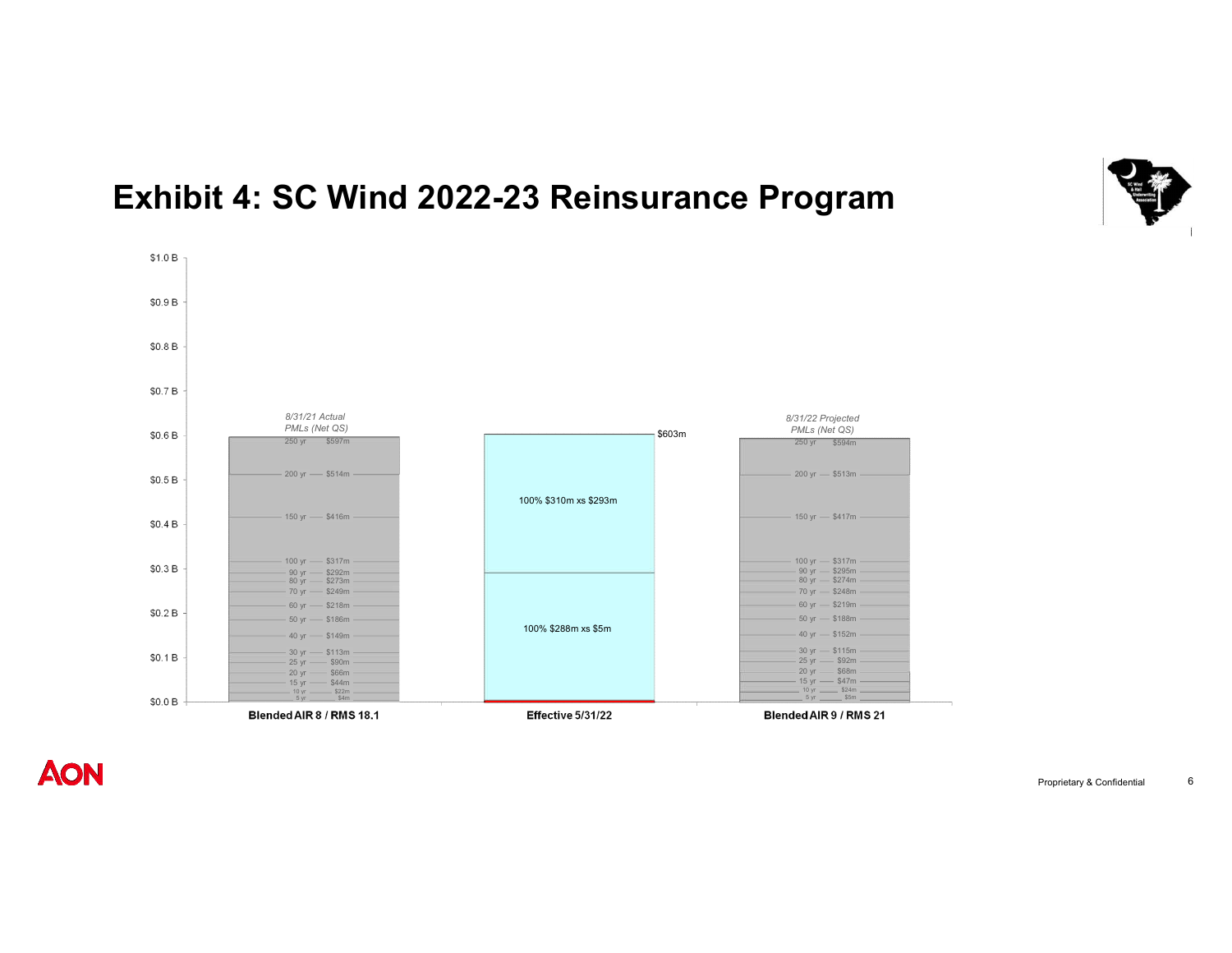

### **Exhibit 4: SC Wind 2022-23 Reinsurance Program**



**AON** 

\$1.0 B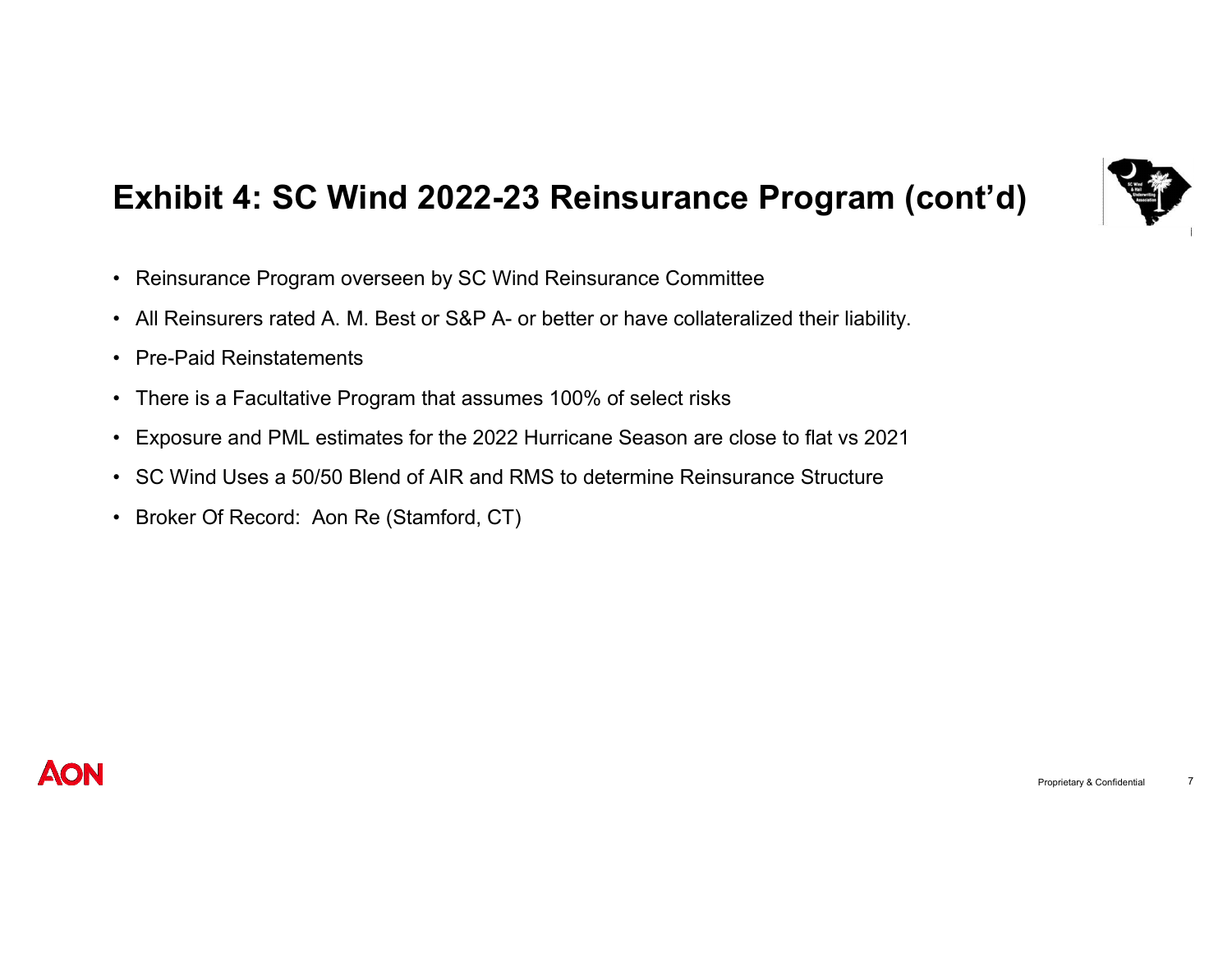

# **Exhibit 4: SC Wind 2022-23 Reinsurance Program (cont'd)**

- Reinsurance Program overseen by SC Wind Reinsurance Committee
- All Reinsurers rated A. M. Best or S&P A- or better or have collateralized their liability.
- Pre-Paid Reinstatements
- There is a Facultative Program that assumes 100% of select risks
- Exposure and PML estimates for the 2022 Hurricane Season are close to flat vs 2021
- SC Wind Uses a 50/50 Blend of AIR and RMS to determine Reinsurance Structure
- Broker Of Record: Aon Re (Stamford, CT)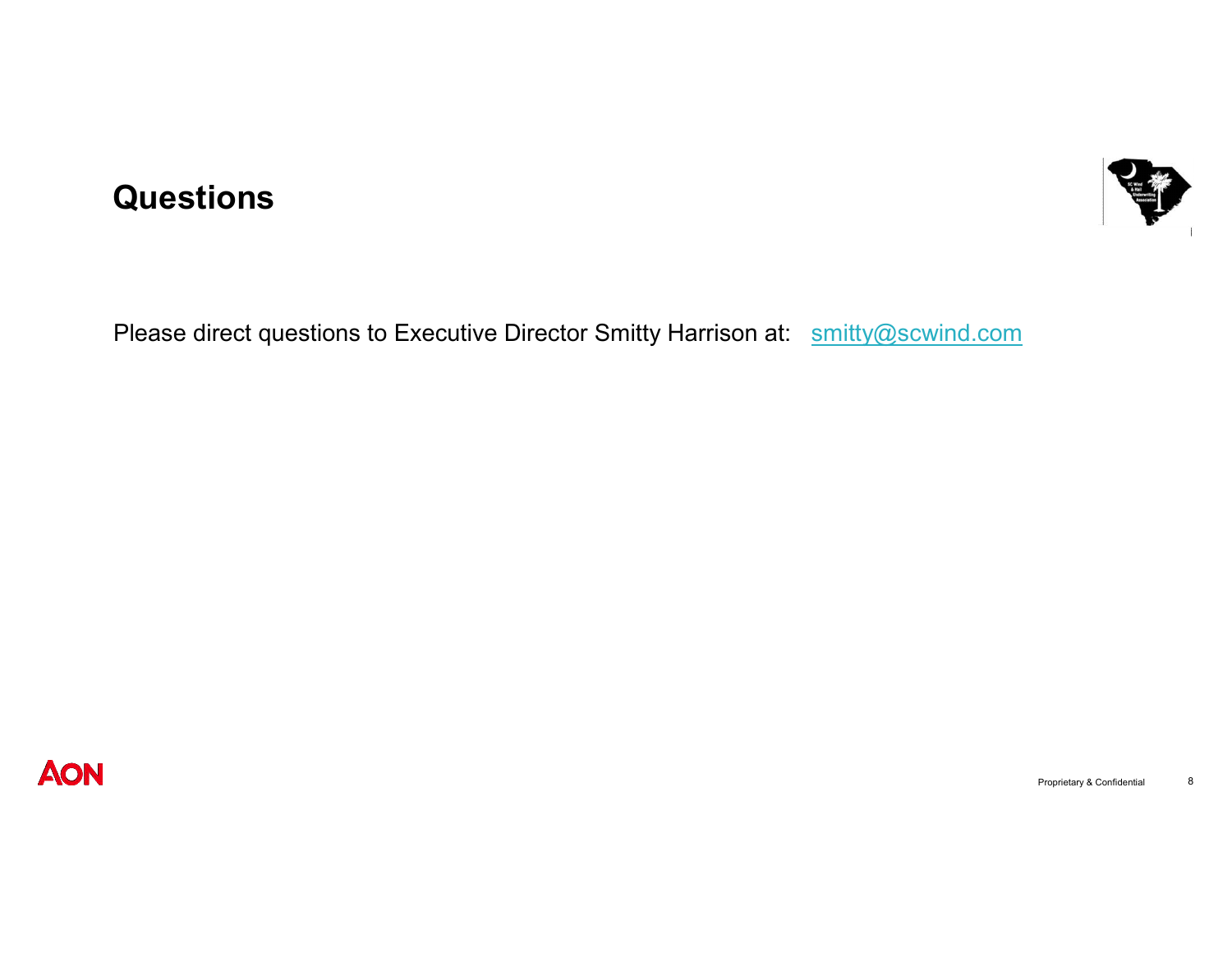#### **Questions**



Please direct questions to Executive Director Smitty Harrison at: smitty@scwind.com

**AON**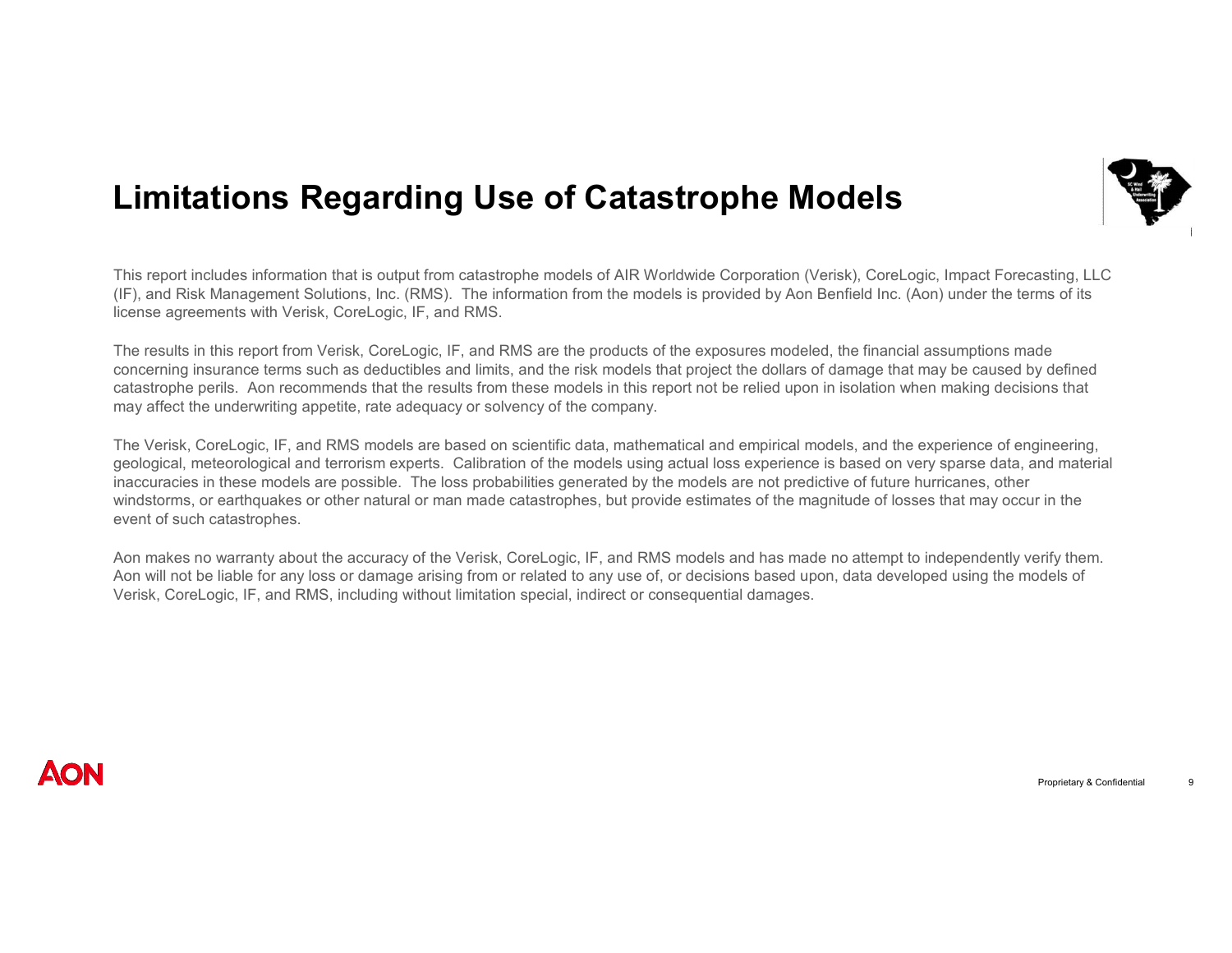### **Limitations Regarding Use of Catastrophe Models**

This report includes information that is output from catastrophe models of AIR Worldwide Corporation (Verisk), CoreLogic, Impact Forecasting, LLC (IF), and Risk Management Solutions, Inc. (RMS). The information from the models is provided by Aon Benfield Inc. (Aon) under the terms of its license agreements with Verisk, CoreLogic, IF, and RMS.

The results in this report from Verisk, CoreLogic, IF, and RMS are the products of the exposures modeled, the financial assumptions made concerning insurance terms such as deductibles and limits, and the risk models that project the dollars of damage that may be caused by defined catastrophe perils. Aon recommends that the results from these models in this report not be relied upon in isolation when making decisions that may affect the underwriting appetite, rate adequacy or solvency of the company.

The Verisk, CoreLogic, IF, and RMS models are based on scientific data, mathematical and empirical models, and the experience of engineering, geological, meteorological and terrorism experts. Calibration of the models using actual loss experience is based on very sparse data, and material inaccuracies in these models are possible. The loss probabilities generated by the models are not predictive of future hurricanes, other windstorms, or earthquakes or other natural or man made catastrophes, but provide estimates of the magnitude of losses that may occur in the event of such catastrophes.

Aon makes no warranty about the accuracy of the Verisk, CoreLogic, IF, and RMS models and has made no attempt to independently verify them. Aon will not be liable for any loss or damage arising from or related to any use of, or decisions based upon, data developed using the models of Verisk, CoreLogic, IF, and RMS, including without limitation special, indirect or consequential damages.

#### **MON**

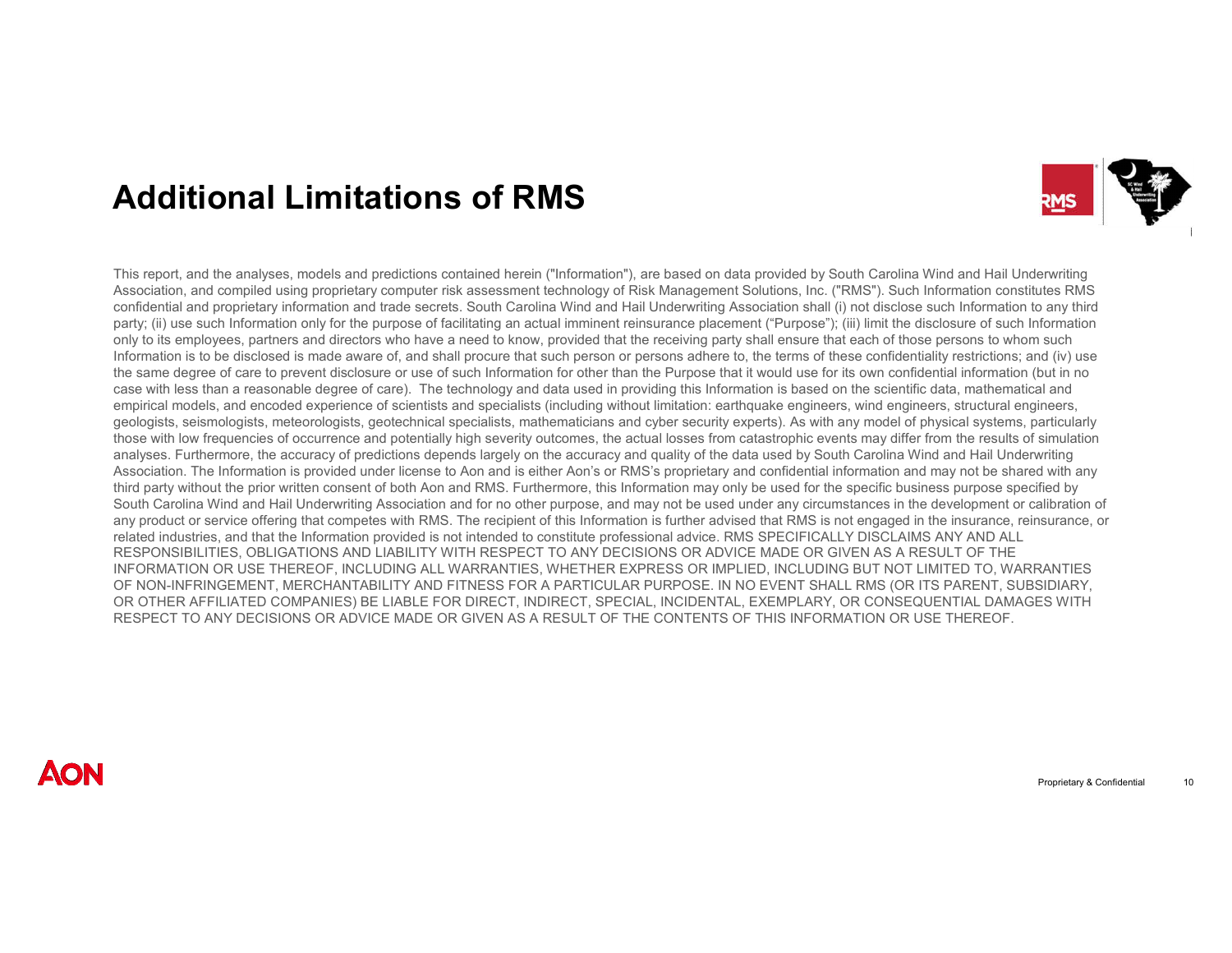## **Additional Limitations of RMS**



This report, and the analyses, models and predictions contained herein ("Information"), are based on data provided by South Carolina Wind and Hail Underwriting Association, and compiled using proprietary computer risk assessment technology of Risk Management Solutions, Inc. ("RMS"). Such Information constitutes RMS confidential and proprietary information and trade secrets. South Carolina Wind and Hail Underwriting Association shall (i) not disclose such Information to any third party; (ii) use such Information only for the purpose of facilitating an actual imminent reinsurance placement ("Purpose"); (iii) limit the disclosure of such Information only to its employees, partners and directors who have a need to know, provided that the receiving party shall ensure that each of those persons to whom such Information is to be disclosed is made aware of, and shall procure that such person or persons adhere to, the terms of these confidentiality restrictions; and (iv) use the same degree of care to prevent disclosure or use of such Information for other than the Purpose that it would use for its own confidential information (but in no case with less than a reasonable degree of care). The technology and data used in providing this Information is based on the scientific data, mathematical and empirical models, and encoded experience of scientists and specialists (including without limitation: earthquake engineers, wind engineers, structural engineers, geologists, seismologists, meteorologists, geotechnical specialists, mathematicians and cyber security experts). As with any model of physical systems, particularly those with low frequencies of occurrence and potentially high severity outcomes, the actual losses from catastrophic events may differ from the results of simulation analyses. Furthermore, the accuracy of predictions depends largely on the accuracy and quality of the data used by South Carolina Wind and Hail Underwriting Association. The Information is provided under license to Aon and is either Aon's or RMS's proprietary and confidential information and may not be shared with any third party without the prior written consent of both Aon and RMS. Furthermore, this Information may only be used for the specific business purpose specified by South Carolina Wind and Hail Underwriting Association and for no other purpose, and may not be used under any circumstances in the development or calibration of any product or service offering that competes with RMS. The recipient of this Information is further advised that RMS is not engaged in the insurance, reinsurance, or related industries, and that the Information provided is not intended to constitute professional advice. RMS SPECIFICALLY DISCLAIMS ANY AND ALL RESPONSIBILITIES, OBLIGATIONS AND LIABILITY WITH RESPECT TO ANY DECISIONS OR ADVICE MADE OR GIVEN AS A RESULT OF THE INFORMATION OR USE THEREOF, INCLUDING ALL WARRANTIES, WHETHER EXPRESS OR IMPLIED, INCLUDING BUT NOT LIMITED TO, WARRANTIES OF NON-INFRINGEMENT, MERCHANTABILITY AND FITNESS FOR A PARTICULAR PURPOSE. IN NO EVENT SHALL RMS (OR ITS PARENT, SUBSIDIARY, OR OTHER AFFILIATED COMPANIES) BE LIABLE FOR DIRECT, INDIRECT, SPECIAL, INCIDENTAL, EXEMPLARY, OR CONSEQUENTIAL DAMAGES WITH RESPECT TO ANY DECISIONS OR ADVICE MADE OR GIVEN AS A RESULT OF THE CONTENTS OF THIS INFORMATION OR USE THEREOF.

#### **AON**